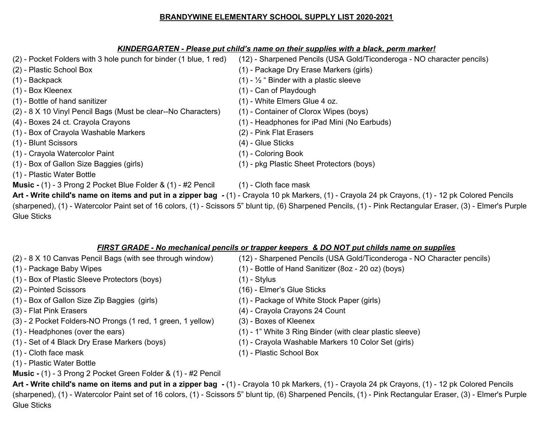## **BRANDYWINE ELEMENTARY SCHOOL SUPPLY LIST 2020-2021**

## *KINDERGARTEN - Please put child's name on their supplies with a black, perm marker!*

| (2) - Pocket Folders with 3 hole punch for binder (1 blue, 1 red)                                                                                             | (12) - Sharpened Pencils (USA Gold/Ticonderoga - NO character pencils) |
|---------------------------------------------------------------------------------------------------------------------------------------------------------------|------------------------------------------------------------------------|
| (2) - Plastic School Box                                                                                                                                      | (1) - Package Dry Erase Markers (girls)                                |
| $(1)$ - Backpack                                                                                                                                              | (1) - $\frac{1}{2}$ " Binder with a plastic sleeve                     |
| $(1)$ - Box Kleenex                                                                                                                                           | (1) - Can of Playdough                                                 |
| (1) - Bottle of hand sanitizer                                                                                                                                | (1) - White Elmers Glue 4 oz.                                          |
| (2) - 8 X 10 Vinyl Pencil Bags (Must be clear--No Characters)                                                                                                 | (1) - Container of Clorox Wipes (boys)                                 |
| (4) - Boxes 24 ct. Crayola Crayons                                                                                                                            | (1) - Headphones for iPad Mini (No Earbuds)                            |
| (1) - Box of Crayola Washable Markers                                                                                                                         | (2) - Pink Flat Erasers                                                |
| (1) - Blunt Scissors                                                                                                                                          | $(4)$ - Glue Sticks                                                    |
| (1) - Crayola Watercolor Paint                                                                                                                                | (1) - Coloring Book                                                    |
| (1) - Box of Gallon Size Baggies (girls)                                                                                                                      | (1) - pkg Plastic Sheet Protectors (boys)                              |
| (1) - Plastic Water Bottle                                                                                                                                    |                                                                        |
| <b>Music -</b> (1) - 3 Prong 2 Pocket Blue Folder & (1) - #2 Pencil                                                                                           | $(1)$ - Cloth face mask                                                |
| Art - Write child's name on items and put in a zipper bag - (1) - Crayola 10 pk Markers, (1) - Crayola 24 pk Crayons, (1) - 12 pk Colored Pencils             |                                                                        |
| (sharpened), (1) - Watercolor Paint set of 16 colors, (1) - Scissors 5" blunt tip, (6) Sharpened Pencils, (1) - Pink Rectangular Eraser, (3) - Elmer's Purple |                                                                        |
| <b>Glue Sticks</b>                                                                                                                                            |                                                                        |

# *FIRST GRADE - No mechanical pencils or trapper keepers & DO NOT put childs name on supplies*

| (2) - 8 X 10 Canvas Pencil Bags (with see through window)   | (12) - Sharpened Pencils (USA Gold/Ticonderoga - NO Character pencils) |
|-------------------------------------------------------------|------------------------------------------------------------------------|
| (1) - Package Baby Wipes                                    | (1) - Bottle of Hand Sanitizer (8oz - 20 oz) (boys)                    |
| (1) - Box of Plastic Sleeve Protectors (boys)               | $(1)$ - Stylus                                                         |
| (2) - Pointed Scissors                                      | (16) - Elmer's Glue Sticks                                             |
| (1) - Box of Gallon Size Zip Baggies (girls)                | (1) - Package of White Stock Paper (girls)                             |
| (3) - Flat Pink Erasers                                     | (4) - Crayola Crayons 24 Count                                         |
| (3) - 2 Pocket Folders-NO Prongs (1 red, 1 green, 1 yellow) | (3) - Boxes of Kleenex                                                 |
| (1) - Headphones (over the ears)                            | (1) - 1" White 3 Ring Binder (with clear plastic sleeve)               |
| (1) - Set of 4 Black Dry Erase Markers (boys)               | (1) - Crayola Washable Markers 10 Color Set (girls)                    |
| $(1)$ - Cloth face mask                                     | (1) - Plastic School Box                                               |
| (1) - Plastic Water Bottle                                  |                                                                        |

**Music -** (1) - 3 Prong 2 Pocket Green Folder & (1) - #2 Pencil

Art - Write child's name on items and put in a zipper bag - (1) - Crayola 10 pk Markers, (1) - Crayola 24 pk Crayons, (1) - 12 pk Colored Pencils (sharpened), (1) - Watercolor Paint set of 16 colors, (1) - Scissors 5" blunt tip, (6) Sharpened Pencils, (1) - Pink Rectangular Eraser, (3) - Elmer's Purple Glue Sticks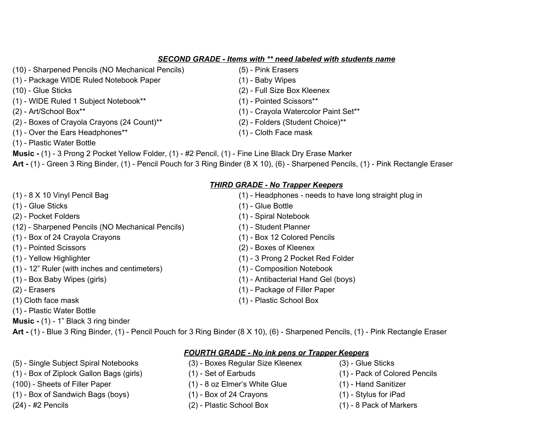#### *SECOND GRADE - Items with \*\* need labeled with students name*

- (10) Sharpened Pencils (NO Mechanical Pencils) (5) Pink Erasers
- (1) Package WIDE Ruled Notebook Paper (1) Baby Wipes
- 
- (1) WIDE Ruled 1 Subject Notebook\*\* (1) Pointed Scissors\*\*
- 
- (2) Boxes of Crayola Crayons (24 Count)\*\* (2) Folders (Student Choice)\*\*
- (1) Over the Ears Headphones\*\* (1) Cloth Face mask
- (1) Plastic Water Bottle
- **Music -** (1) 3 Prong 2 Pocket Yellow Folder, (1) #2 Pencil, (1) Fine Line Black Dry Erase Marker

**Art -** (1) - Green 3 Ring Binder, (1) - Pencil Pouch for 3 Ring Binder (8 X 10), (6) - Sharpened Pencils, (1) - Pink Rectangle Eraser

# *THIRD GRADE - No Trapper Keepers*

(1) - 8 X 10 Vinyl Pencil Bag (1) - Headphones - needs to have long straight plug in (1) - Glue Sticks (1) - Glue Bottle (2) - Pocket Folders (1) - Spiral Notebook (12) - Sharpened Pencils (NO Mechanical Pencils) (1) - Student Planner (1) - Box of 24 Crayola Crayons (1) - Box 12 Colored Pencils (1) - Pointed Scissors (2) - Boxes of Kleenex (1) - Yellow Highlighter (1) - 3 Prong 2 Pocket Red Folder (1) - 12" Ruler (with inches and centimeters) (1) - Composition Notebook (1) - Box Baby Wipes (girls) (1) - Antibacterial Hand Gel (boys) (2) - Erasers (1) - Package of Filler Paper (1) Cloth face mask (1) - Plastic School Box

**Art -** (1) - Blue 3 Ring Binder, (1) - Pencil Pouch for 3 Ring Binder (8 X 10), (6) - Sharpened Pencils, (1) - Pink Rectangle Eraser

#### *FOURTH GRADE - No ink pens or Trapper Keepers*

- (5) Single Subject Spiral Notebooks (3) Boxes Regular Size Kleenex (3) Glue Sticks
	-
- (100) Sheets of Filler Paper (1) 8 oz Elmer's White Glue (1) Hand Sanitizer
- (1) Box of Sandwich Bags (boys) (1) Box of 24 Crayons (1) Stylus for iPad
- (24) #2 Pencils (2) Plastic School Box (1) 8 Pack of Markers
- 
- (1) Box of Ziplock Gallon Bags (girls) (1) Set of Earbuds (1) Pack of Colored Pencils
	-
	-
	-
- 
- (10) Glue Sticks (2) Full Size Box Kleenex
	-
- (2) Art/School Box\*\* (1) Crayola Watercolor Paint Set\*\*
	-
	-

- 
- 
- 
- 
- 
- 
- 
- 
- 
- (1) Plastic Water Bottle
- **Music -** (1) 1" Black 3 ring binder